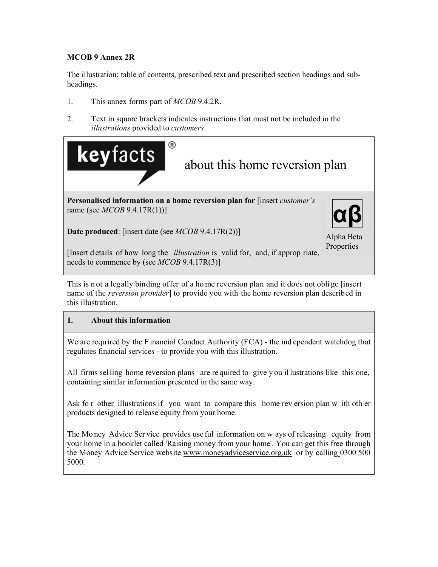## **MCOB 9 Annex 2R**

The illustration: table of contents, prescribed text and prescribed section headings and subheadings.

- 1. This annex forms part of *MCOB* 9.4.2R.
- 2. Text in square brackets indicates instructions that must not be included in the *illustrations* provided to *customers*.



**Date produced**: [insert date (see *MCOB* 9.4.17R(2))]

Alpha Beta Properties

[Insert d etails of how long the *illustration* is valid for, and, if approp riate, needs to commence by (see *MCOB* 9.4.17R(3)]

This is n ot a legally binding offer of a ho me reversion plan and it does not obli ge [insert name of the *reversion provider*] to provide you with the home reversion plan described in this illustration.

# **1. About this information**

We are required by the F inancial Conduct Authority (FCA) - the ind ependent watchdog that regulates financial services - to provide you with this illustration.

All firms sel ling home reversion plans are re quired to give y ou il lustrations like this one, containing similar information presented in the same way.

Ask fo r other illustrations if you want to compare this home rev ersion plan w ith oth er products designed to release equity from your home.

The Mo ney Advice Ser vice provides use ful information on w ays of releasing equity from your home in a booklet called 'Raising money from your home'. You can get this free through the Money Advice Service website www.moneyadviceservice.org.uk or by calling 0300 500 5000.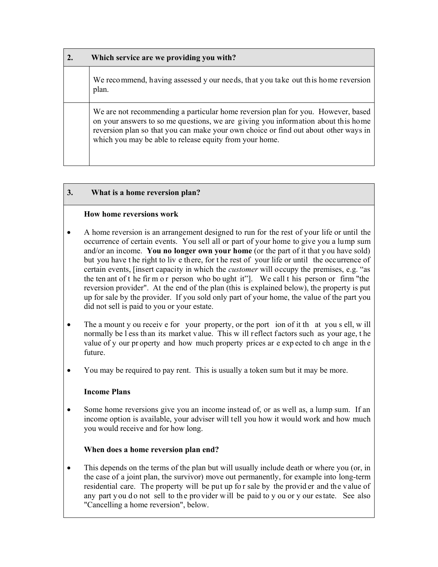| Which service are we providing you with?                                                                                                                                                                                                                                                                                |
|-------------------------------------------------------------------------------------------------------------------------------------------------------------------------------------------------------------------------------------------------------------------------------------------------------------------------|
| We recommend, having assessed y our needs, that you take out this home reversion<br>plan.                                                                                                                                                                                                                               |
| We are not recommending a particular home reversion plan for you. However, based<br>on your answers to so me questions, we are giving you information about this home<br>reversion plan so that you can make your own choice or find out about other ways in<br>which you may be able to release equity from your home. |

## **3. What is a home reversion plan?**

#### **How home reversions work**

- A home reversion is an arrangement designed to run for the rest of your life or until the occurrence of certain events. You sell all or part of your home to give you a lump sum and/or an income. **You no longer own your home** (or the part of it that you have sold) but you have t he right to liv e there, for t he rest of your life or until the occurrence of certain events, [insert capacity in which the *customer* will occupy the premises, e.g. "as the ten ant of t he fir m o r person who bo ught it"]. We call t his person or firm "the reversion provider". At the end of the plan (this is explained below), the property is put up for sale by the provider. If you sold only part of your home, the value of the part you did not sell is paid to you or your estate.
- The a mount y ou receive for your property, or the port ion of it the at you s ell, w ill normally be l ess than its market value. This w ill reflect factors such as your age, t he value of y our pr operty and how much property prices ar e exp ected to ch ange in th e future.
- You may be required to pay rent. This is usually a token sum but it may be more.

## **Income Plans**

 Some home reversions give you an income instead of, or as well as, a lump sum. If an income option is available, your adviser will tell you how it would work and how much you would receive and for how long.

## **When does a home reversion plan end?**

• This depends on the terms of the plan but will usually include death or where you (or, in the case of a joint plan, the survivor) move out permanently, for example into long-term residential care. The property will be put up fo r sale by the provid er and the value of any part y ou do not sell to the provider will be paid to y ou or y our estate. See also "Cancelling a home reversion", below.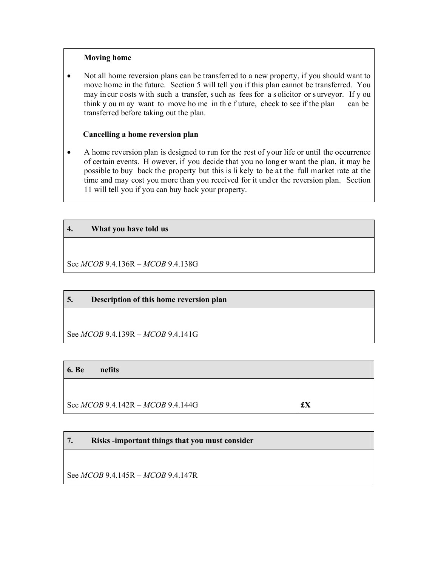#### **Moving home**

 Not all home reversion plans can be transferred to a new property, if you should want to move home in the future. Section 5 will tell you if this plan cannot be transferred. You may in cur c osts w ith such a transfer, s uch as fees for a s olicitor or s urveyor. If y ou think y ou m ay want to move ho me in th e f uture, check to see if the plan can be transferred before taking out the plan.

#### **Cancelling a home reversion plan**

 A home reversion plan is designed to run for the rest of your life or until the occurrence of certain events. H owever, if you decide that you no long er want the plan, it may be possible to buy back the property but this is li kely to be at the full market rate at the time and may cost you more than you received for it under the reversion plan. Section 11 will tell you if you can buy back your property.

## **4. What you have told us**

See *MCOB* 9.4.136R – *MCOB* 9.4.138G

## **5. Description of this home reversion plan**

See *MCOB* 9.4.139R – *MCOB* 9.4.141G

| <b>6.</b> Be<br>nefits                |    |
|---------------------------------------|----|
|                                       |    |
| See $MCOB$ 9.4.142R – $MCOB$ 9.4.144G | £X |

# **7. Risks -important things that you must consider**

See *MCOB* 9.4.145R – *MCOB* 9.4.147R